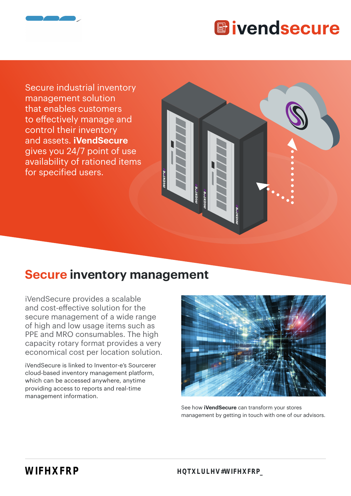

Secure industrial inventory management solution that enables customers to effectively manage and control their inventory and assets. **iVendSecure** gives you 24/7 point of use availability of rationed items for specified users.

### **Secure inventory management**

iVendSecure provides a scalable and cost-effective solution for the secure management of a wide range of high and low usage items such as PPE and MRO consumables. The high capacity rotary format provides a very economical cost per location solution.

iVendSecure is linked to Inventor-e's Sourcerer cloud-based inventory management platform, which can be accessed anywhere, anytime providing access to reports and real-time management information.



See how **iVendSecure** can transform your stores management by getting in touch with one of our advisors.